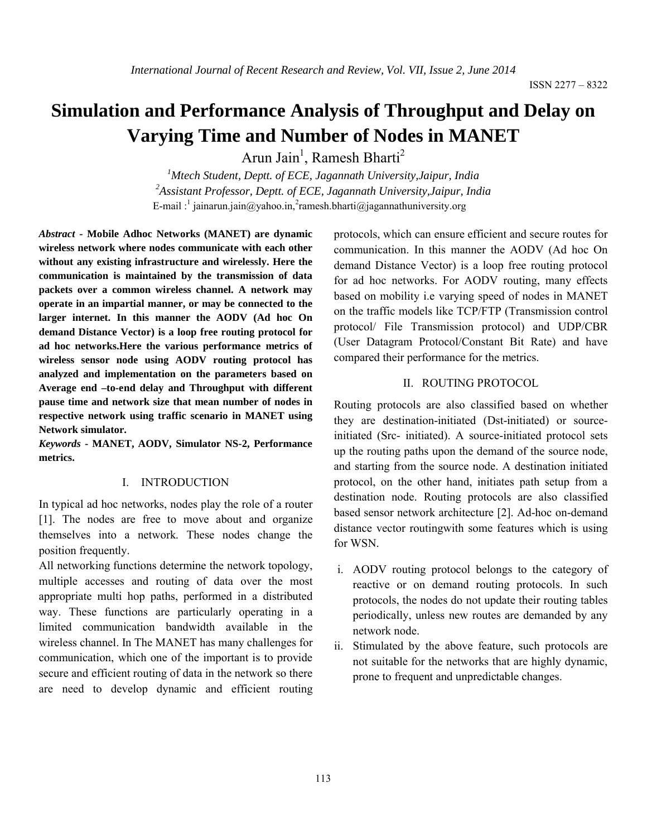# **Simulation and Performance Analysis of Throughput and Delay on Varying Time and Number of Nodes in MANET**

Arun Jain<sup>1</sup>, Ramesh Bharti<sup>2</sup>

*1 Mtech Student, Deptt. of ECE, Jagannath University,Jaipur, India 2 Assistant Professor, Deptt. of ECE, Jagannath University,Jaipur, India* E-mail :<sup>1</sup> jainarun.jain@yahoo.in,<sup>2</sup>ramesh.bharti@jagannathuniversity.org

*Abstract* **- Mobile Adhoc Networks (MANET) are dynamic wireless network where nodes communicate with each other without any existing infrastructure and wirelessly. Here the communication is maintained by the transmission of data packets over a common wireless channel. A network may operate in an impartial manner, or may be connected to the larger internet. In this manner the AODV (Ad hoc On demand Distance Vector) is a loop free routing protocol for ad hoc networks.Here the various performance metrics of wireless sensor node using AODV routing protocol has analyzed and implementation on the parameters based on Average end –to-end delay and Throughput with different pause time and network size that mean number of nodes in respective network using traffic scenario in MANET using Network simulator.**

*Keywords* **- MANET, AODV, Simulator NS-2, Performance metrics.**

#### I. INTRODUCTION

In typical ad hoc networks, nodes play the role of a router [1]. The nodes are free to move about and organize themselves into a network. These nodes change the position frequently.

All networking functions determine the network topology, multiple accesses and routing of data over the most appropriate multi hop paths, performed in a distributed way. These functions are particularly operating in a limited communication bandwidth available in the wireless channel. In The MANET has many challenges for communication, which one of the important is to provide secure and efficient routing of data in the network so there are need to develop dynamic and efficient routing

protocols, which can ensure efficient and secure routes for communication. In this manner the AODV (Ad hoc On demand Distance Vector) is a loop free routing protocol for ad hoc networks. For AODV routing, many effects based on mobility i.e varying speed of nodes in MANET on the traffic models like TCP/FTP (Transmission control protocol/ File Transmission protocol) and UDP/CBR (User Datagram Protocol/Constant Bit Rate) and have compared their performance for the metrics.

## II. ROUTING PROTOCOL

Routing protocols are also classified based on whether they are destination-initiated (Dst-initiated) or sourceinitiated (Src- initiated). A source-initiated protocol sets up the routing paths upon the demand of the source node, and starting from the source node. A destination initiated protocol, on the other hand, initiates path setup from a destination node. Routing protocols are also classified based sensor network architecture [2]. Ad-hoc on-demand distance vector routingwith some features which is using for WSN.

- i. AODV routing protocol belongs to the category of reactive or on demand routing protocols. In such protocols, the nodes do not update their routing tables periodically, unless new routes are demanded by any network node.
- ii. Stimulated by the above feature, such protocols are not suitable for the networks that are highly dynamic, prone to frequent and unpredictable changes.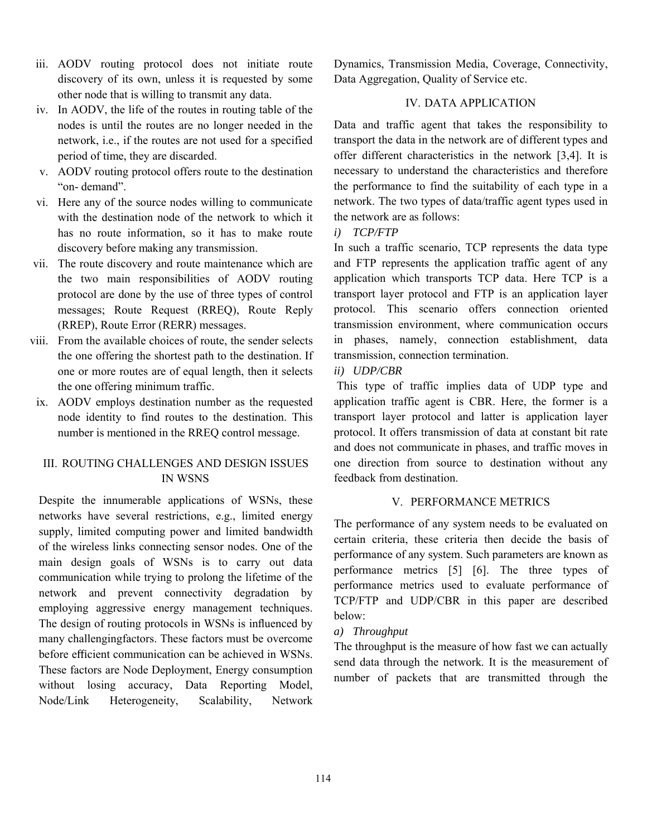- iii. AODV routing protocol does not initiate route discovery of its own, unless it is requested by some other node that is willing to transmit any data.
- iv. In AODV, the life of the routes in routing table of the nodes is until the routes are no longer needed in the network, i.e., if the routes are not used for a specified period of time, they are discarded.
- v. AODV routing protocol offers route to the destination "on- demand".
- vi. Here any of the source nodes willing to communicate with the destination node of the network to which it has no route information, so it has to make route discovery before making any transmission.
- vii. The route discovery and route maintenance which are the two main responsibilities of AODV routing protocol are done by the use of three types of control messages; Route Request (RREQ), Route Reply (RREP), Route Error (RERR) messages.
- viii. From the available choices of route, the sender selects the one offering the shortest path to the destination. If one or more routes are of equal length, then it selects the one offering minimum traffic.
- ix. AODV employs destination number as the requested node identity to find routes to the destination. This number is mentioned in the RREQ control message.

# III. ROUTING CHALLENGES AND DESIGN ISSUES IN WSNS

Despite the innumerable applications of WSNs, these networks have several restrictions, e.g., limited energy supply, limited computing power and limited bandwidth of the wireless links connecting sensor nodes. One of the main design goals of WSNs is to carry out data communication while trying to prolong the lifetime of the network and prevent connectivity degradation by employing aggressive energy management techniques. The design of routing protocols in WSNs is influenced by many challengingfactors. These factors must be overcome before efficient communication can be achieved in WSNs. These factors are Node Deployment, Energy consumption without losing accuracy, Data Reporting Model, Node/Link Heterogeneity, Scalability, Network

Dynamics, Transmission Media, Coverage, Connectivity, Data Aggregation, Quality of Service etc.

# IV. DATA APPLICATION

Data and traffic agent that takes the responsibility to transport the data in the network are of different types and offer different characteristics in the network [3,4]. It is necessary to understand the characteristics and therefore the performance to find the suitability of each type in a network. The two types of data/traffic agent types used in the network are as follows:

*i) TCP/FTP* 

In such a traffic scenario, TCP represents the data type and FTP represents the application traffic agent of any application which transports TCP data. Here TCP is a transport layer protocol and FTP is an application layer protocol. This scenario offers connection oriented transmission environment, where communication occurs in phases, namely, connection establishment, data transmission, connection termination.

# *ii) UDP/CBR*

This type of traffic implies data of UDP type and application traffic agent is CBR. Here, the former is a transport layer protocol and latter is application layer protocol. It offers transmission of data at constant bit rate and does not communicate in phases, and traffic moves in one direction from source to destination without any feedback from destination.

## V. PERFORMANCE METRICS

The performance of any system needs to be evaluated on certain criteria, these criteria then decide the basis of performance of any system. Such parameters are known as performance metrics [5] [6]. The three types of performance metrics used to evaluate performance of TCP/FTP and UDP/CBR in this paper are described below:

## *a) Throughput*

The throughput is the measure of how fast we can actually send data through the network. It is the measurement of number of packets that are transmitted through the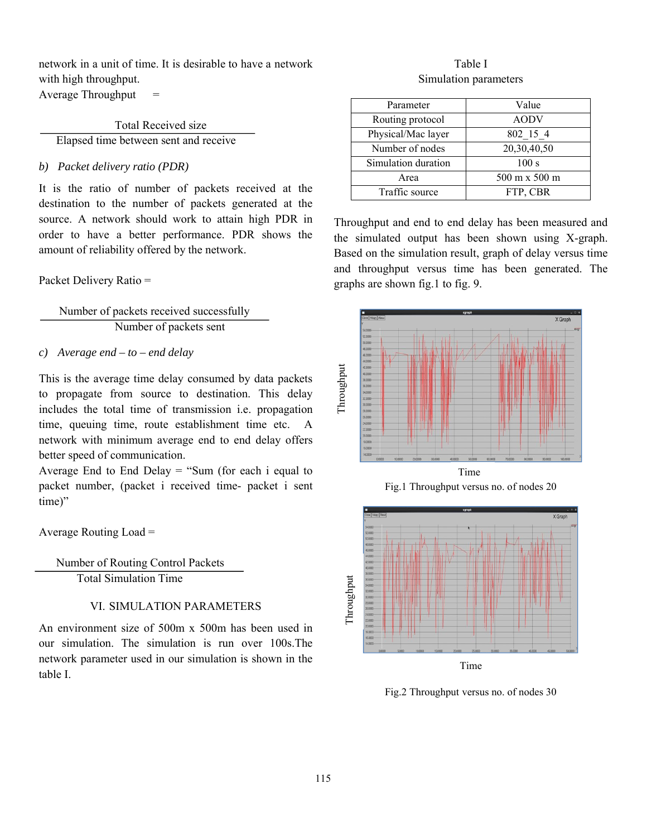network in a unit of time. It is desirable to have a network with high throughput. Average Throughput  $=$ 

Total Received size Elapsed time between sent and receive

#### *b) Packet delivery ratio (PDR)*

It is the ratio of number of packets received at the destination to the number of packets generated at the source. A network should work to attain high PDR in order to have a better performance. PDR shows the amount of reliability offered by the network.

#### Packet Delivery Ratio =

 Number of packets received successfully Number of packets sent

#### *c) Average end – to – end delay*

This is the average time delay consumed by data packets to propagate from source to destination. This delay includes the total time of transmission i.e. propagation time, queuing time, route establishment time etc. A network with minimum average end to end delay offers better speed of communication.

Average End to End Delay  $=$  "Sum (for each i equal to packet number, (packet i received time- packet i sent time)"

Average Routing Load =

 Number of Routing Control Packets Total Simulation Time

#### VI. SIMULATION PARAMETERS

An environment size of 500m x 500m has been used in our simulation. The simulation is run over 100s.The network parameter used in our simulation is shown in the table I.

# Table I Simulation parameters

| Parameter           | Value         |
|---------------------|---------------|
| Routing protocol    | <b>AODV</b>   |
| Physical/Mac layer  | 802 15 4      |
| Number of nodes     | 20,30,40,50   |
| Simulation duration | 100 s         |
| Area                | 500 m x 500 m |
| Traffic source      | FTP, CBR      |

Throughput and end to end delay has been measured and the simulated output has been shown using X-graph. Based on the simulation result, graph of delay versus time and throughput versus time has been generated. The graphs are shown fig.1 to fig. 9.







Fig.2 Throughput versus no. of nodes 30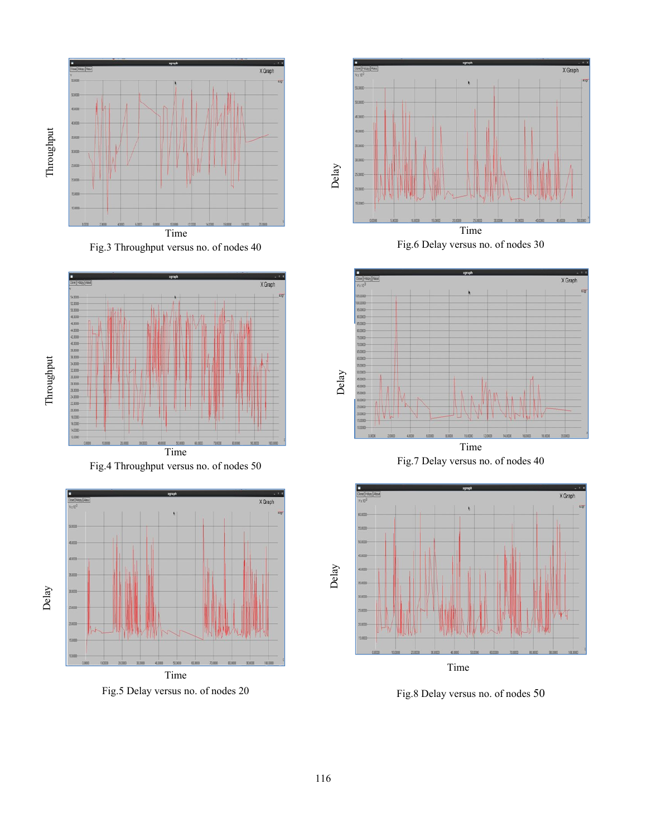

Fig.3 Throughput versus no. of nodes 40







Fig.5 Delay versus no. of nodes 20



Fig.6 Delay versus no. of nodes 30



Fig.7 Delay versus no. of nodes 40



Time

Fig.8 Delay versus no. of nodes 50

Delay